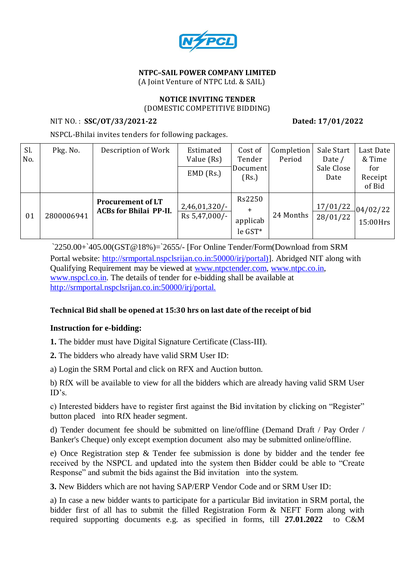

# **NTPC–SAIL POWER COMPANY LIMITED**

(A Joint Venture of NTPC Ltd. & SAIL)

#### **NOTICE INVITING TENDER** (DOMESTIC COMPETITIVE BIDDING)

### NIT NO. : **SSC/OT/33/2021-22 Dated: 17/01/2022**

NSPCL-Bhilai invites tenders for following packages.

| Sl.<br>No. | Pkg. No.   | Description of Work                                       | Estimated<br>Value (Rs)       | Cost of<br>Tender                   | Completion<br>Period | Sale Start<br>Date / | Last Date<br>& Time      |
|------------|------------|-----------------------------------------------------------|-------------------------------|-------------------------------------|----------------------|----------------------|--------------------------|
|            |            |                                                           | $EMD$ (Rs.)                   | Document <br>(Rs.)                  |                      | Sale Close<br>Date   | for<br>Receipt<br>of Bid |
| 01         | 2800006941 | <b>Procurement of LT</b><br><b>ACBs for Bhilai PP-II.</b> | 2,46,01,320/<br>Rs 5,47,000/- | Rs2250<br>÷.<br>applicab<br>le GST* | 24 Months            | 17/01/22<br>28/01/22 | $-104/02/22$<br>15:00Hrs |

`2250.00+`405.00(GST@18%)=`2655/- [For Online Tender/Form(Download from SRM Portal website: [http://srmportal.nspclsrijan.co.in:50000/irj/portal\)\]](http://srmportal.nspclsrijan.co.in:50000/irj/portal)). Abridged NIT along with Qualifying Requirement may be viewed at [www.ntpctender.com,](http://www.ntpctender.com/) [www.ntpc.co.in,](http://www.ntpc.co.in/) [www.nspcl.co.in.](http://www.nspcl.co.in/) The details of tender for e-bidding shall be available at <http://srmportal.nspclsrijan.co.in:50000/irj/portal.>

# **Technical Bid shall be opened at 15:30 hrs on last date of the receipt of bid**

# **Instruction for e-bidding:**

**1.** The bidder must have Digital Signature Certificate (Class-III).

**2.** The bidders who already have valid SRM User ID:

a) Login the SRM Portal and click on RFX and Auction button.

b) RfX will be available to view for all the bidders which are already having valid SRM User ID's.

c) Interested bidders have to register first against the Bid invitation by clicking on "Register" button placed into RfX header segment.

d) Tender document fee should be submitted on line/offline (Demand Draft / Pay Order / Banker's Cheque) only except exemption document also may be submitted online/offline.

e) Once Registration step & Tender fee submission is done by bidder and the tender fee received by the NSPCL and updated into the system then Bidder could be able to "Create Response" and submit the bids against the Bid invitation into the system.

**3.** New Bidders which are not having SAP/ERP Vendor Code and or SRM User ID:

a) In case a new bidder wants to participate for a particular Bid invitation in SRM portal, the bidder first of all has to submit the filled Registration Form & NEFT Form along with required supporting documents e.g. as specified in forms, till **27.01.2022** to C&M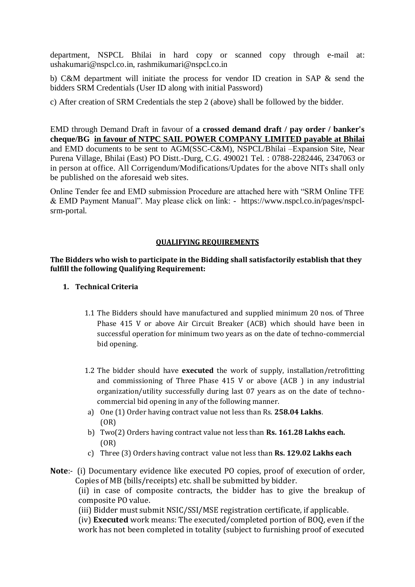department, NSPCL Bhilai in hard copy or scanned copy through e-mail at: ushakumari@nspcl.co.in, rashmikumari@nspcl.co.in

b) C&M department will initiate the process for vendor ID creation in SAP & send the bidders SRM Credentials (User ID along with initial Password)

c) After creation of SRM Credentials the step 2 (above) shall be followed by the bidder.

EMD through Demand Draft in favour of **a crossed demand draft / pay order / banker's cheque/BG in favour of NTPC SAIL POWER COMPANY LIMITED payable at Bhilai** and EMD documents to be sent to AGM(SSC-C&M), NSPCL/Bhilai –Expansion Site, Near Purena Village, Bhilai (East) PO Distt.-Durg, C.G. 490021 Tel. : 0788-2282446, 2347063 or in person at office. All Corrigendum/Modifications/Updates for the above NITs shall only be published on the aforesaid web sites.

Online Tender fee and EMD submission Procedure are attached here with "SRM Online TFE & EMD Payment Manual". May please click on link: - https://www.nspcl.co.in/pages/nspclsrm-portal.

### **QUALIFYING REQUIREMENTS**

**The Bidders who wish to participate in the Bidding shall satisfactorily establish that they fulfill the following Qualifying Requirement:**

### **1. Technical Criteria**

- 1.1 The Bidders should have manufactured and supplied minimum 20 nos. of Three Phase 415 V or above Air Circuit Breaker (ACB) which should have been in successful operation for minimum two years as on the date of techno-commercial bid opening.
- 1.2 The bidder should have **executed** the work of supply, installation/retrofitting and commissioning of Three Phase 415 V or above (ACB ) in any industrial organization/utility successfully during last 07 years as on the date of technocommercial bid opening in any of the following manner.
- a) One (1) Order having contract value not less than Rs. **258.04 Lakhs**. (OR)
- b) Two(2) Orders having contract value not less than **Rs. 161.28 Lakhs each.** (OR)
- c) Three (3) Orders having contract value not less than **Rs. 129.02 Lakhs each**
- **Note**:- (i) Documentary evidence like executed PO copies, proof of execution of order, Copies of MB (bills/receipts) etc. shall be submitted by bidder.

(ii) in case of composite contracts, the bidder has to give the breakup of composite PO value.

(iii) Bidder must submit NSIC/SSI/MSE registration certificate, if applicable.

(iv) **Executed** work means: The executed/completed portion of BOQ, even if the work has not been completed in totality (subject to furnishing proof of executed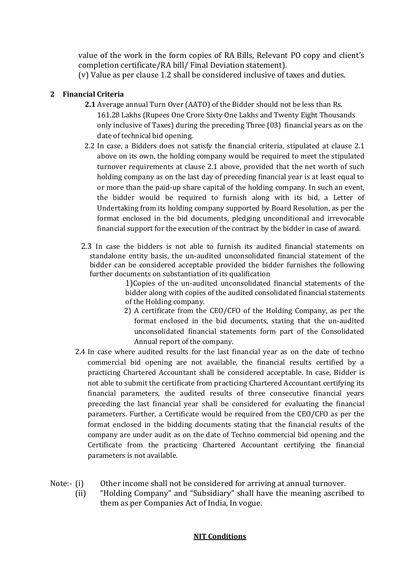value of the work in the form copies of RA Bills, Relevant PO copy and client's completion certificate/RA bill/ Final Deviation statement). (v) Value as per clause 1.2 shall be considered inclusive of taxes and duties.

### **2 Financial Criteria**

- **2.1** Average annual Turn Over (AATO) of the Bidder should not be less than Rs. 161.28 Lakhs (Rupees One Crore Sixty One Lakhs and Twenty Eight Thousands only inclusive of Taxes) during the preceding Three (03) financial years as on the date of technical bid opening.
- 2.2 In case, a Bidders does not satisfy the financial criteria, stipulated at clause 2.1 above on its own, the holding company would be required to meet the stipulated turnover requirements at clause 2.1 above, provided that the net worth of such holding company as on the last day of preceding financial year is at least equal to or more than the paid-up share capital of the holding company. In such an event, the bidder would be required to furnish along with its bid, a Letter of Undertaking from its holding company supported by Board Resolution, as per the format enclosed in the bid documents, pledging unconditional and irrevocable financial support for the execution of the contract by the bidder in case of award.
- 2.3 In case the bidders is not able to furnish its audited financial statements on standalone entity basis, the un-audited unconsolidated financial statement of the bidder can be considered acceptable provided the bidder furnishes the following further documents on substantiation of its qualification

1)Copies of the un-audited unconsolidated financial statements of the bidder along with copies of the audited consolidated financial statements of the Holding company.

- 2) A certificate from the CEO/CFO of the Holding Company, as per the format enclosed in the bid documents, stating that the un-audited unconsolidated financial statements form part of the Consolidated Annual report of the company.
- 2.4 In case where audited results for the last financial year as on the date of techno commercial bid opening are not available, the financial results certified by a practicing Chartered Accountant shall be considered acceptable. In case, Bidder is not able to submit the certificate from practicing Chartered Accountant certifying its financial parameters, the audited results of three consecutive financial years preceding the last financial year shall be considered for evaluating the financial parameters. Further, a Certificate would be required from the CEO/CFO as per the format enclosed in the bidding documents stating that the financial results of the company are under audit as on the date of Techno commercial bid opening and the Certificate from the practicing Chartered Accountant certifying the financial parameters is not available.
- Note:- (i) Other income shall not be considered for arriving at annual turnover.
	- (ii) "Holding Company" and "Subsidiary" shall have the meaning ascribed to them as per Companies Act of India, In vogue.

# **NIT Conditions**